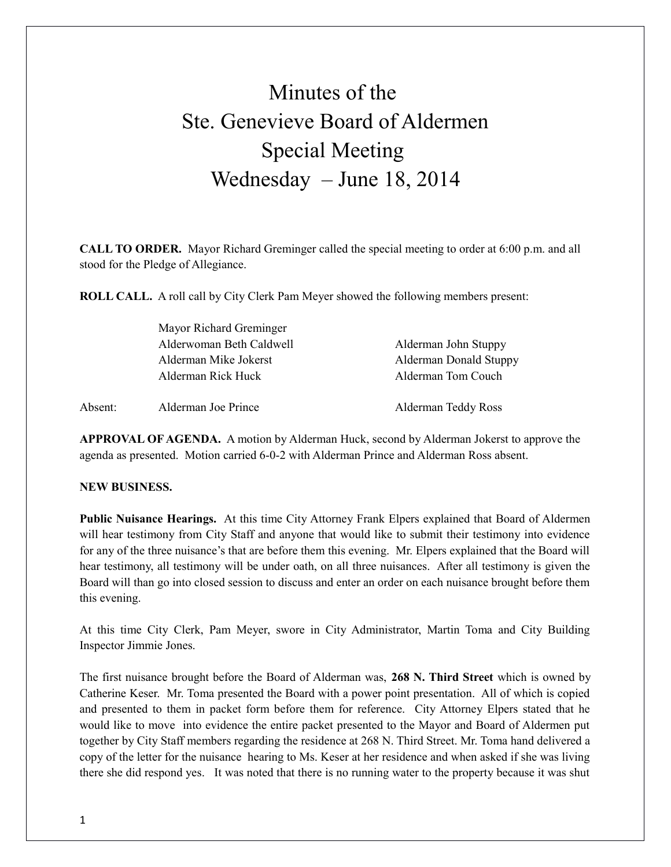## Minutes of the Ste. Genevieve Board of Aldermen Special Meeting Wednesday – June 18, 2014

**CALL TO ORDER.** Mayor Richard Greminger called the special meeting to order at 6:00 p.m. and all stood for the Pledge of Allegiance.

**ROLL CALL.** A roll call by City Clerk Pam Meyer showed the following members present:

|         | Mayor Richard Greminger  |                               |
|---------|--------------------------|-------------------------------|
|         | Alderwoman Beth Caldwell | Alderman John Stuppy          |
|         | Alderman Mike Jokerst    | <b>Alderman Donald Stuppy</b> |
|         | Alderman Rick Huck       | Alderman Tom Couch            |
| Absent: | Alderman Joe Prince      | Alderman Teddy Ross           |

**APPROVAL OF AGENDA.** A motion by Alderman Huck, second by Alderman Jokerst to approve the agenda as presented. Motion carried 6-0-2 with Alderman Prince and Alderman Ross absent.

## **NEW BUSINESS.**

**Public Nuisance Hearings.** At this time City Attorney Frank Elpers explained that Board of Aldermen will hear testimony from City Staff and anyone that would like to submit their testimony into evidence for any of the three nuisance's that are before them this evening. Mr. Elpers explained that the Board will hear testimony, all testimony will be under oath, on all three nuisances. After all testimony is given the Board will than go into closed session to discuss and enter an order on each nuisance brought before them this evening.

At this time City Clerk, Pam Meyer, swore in City Administrator, Martin Toma and City Building Inspector Jimmie Jones.

The first nuisance brought before the Board of Alderman was, **268 N. Third Street** which is owned by Catherine Keser. Mr. Toma presented the Board with a power point presentation. All of which is copied and presented to them in packet form before them for reference. City Attorney Elpers stated that he would like to move into evidence the entire packet presented to the Mayor and Board of Aldermen put together by City Staff members regarding the residence at 268 N. Third Street. Mr. Toma hand delivered a copy of the letter for the nuisance hearing to Ms. Keser at her residence and when asked if she was living there she did respond yes. It was noted that there is no running water to the property because it was shut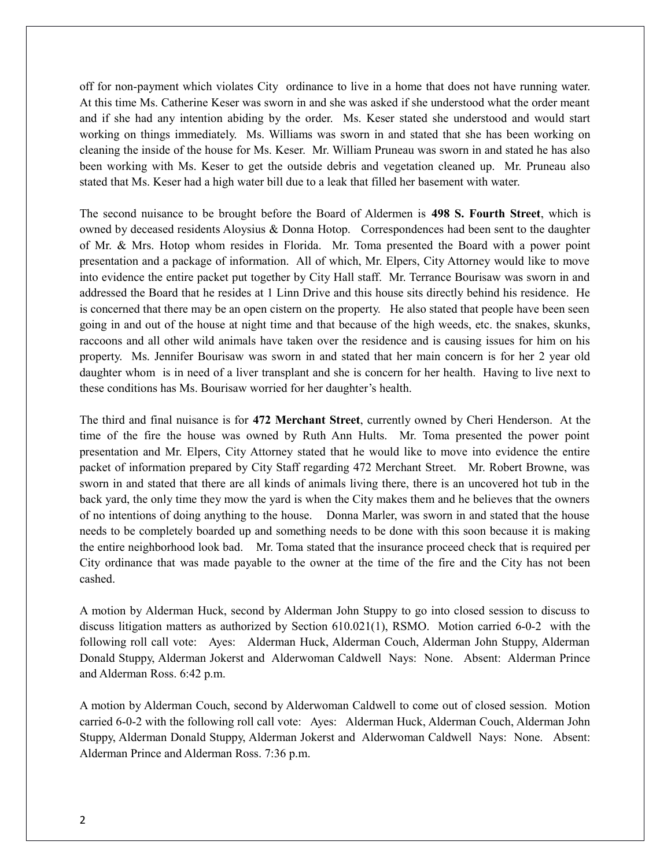off for non-payment which violates City ordinance to live in a home that does not have running water. At this time Ms. Catherine Keser was sworn in and she was asked if she understood what the order meant and if she had any intention abiding by the order. Ms. Keser stated she understood and would start working on things immediately. Ms. Williams was sworn in and stated that she has been working on cleaning the inside of the house for Ms. Keser. Mr. William Pruneau was sworn in and stated he has also been working with Ms. Keser to get the outside debris and vegetation cleaned up. Mr. Pruneau also stated that Ms. Keser had a high water bill due to a leak that filled her basement with water.

The second nuisance to be brought before the Board of Aldermen is **498 S. Fourth Street**, which is owned by deceased residents Aloysius & Donna Hotop. Correspondences had been sent to the daughter of Mr. & Mrs. Hotop whom resides in Florida. Mr. Toma presented the Board with a power point presentation and a package of information. All of which, Mr. Elpers, City Attorney would like to move into evidence the entire packet put together by City Hall staff. Mr. Terrance Bourisaw was sworn in and addressed the Board that he resides at 1 Linn Drive and this house sits directly behind his residence. He is concerned that there may be an open cistern on the property. He also stated that people have been seen going in and out of the house at night time and that because of the high weeds, etc. the snakes, skunks, raccoons and all other wild animals have taken over the residence and is causing issues for him on his property. Ms. Jennifer Bourisaw was sworn in and stated that her main concern is for her 2 year old daughter whom is in need of a liver transplant and she is concern for her health. Having to live next to these conditions has Ms. Bourisaw worried for her daughter's health.

The third and final nuisance is for **472 Merchant Street**, currently owned by Cheri Henderson. At the time of the fire the house was owned by Ruth Ann Hults. Mr. Toma presented the power point presentation and Mr. Elpers, City Attorney stated that he would like to move into evidence the entire packet of information prepared by City Staff regarding 472 Merchant Street. Mr. Robert Browne, was sworn in and stated that there are all kinds of animals living there, there is an uncovered hot tub in the back yard, the only time they mow the yard is when the City makes them and he believes that the owners of no intentions of doing anything to the house. Donna Marler, was sworn in and stated that the house needs to be completely boarded up and something needs to be done with this soon because it is making the entire neighborhood look bad. Mr. Toma stated that the insurance proceed check that is required per City ordinance that was made payable to the owner at the time of the fire and the City has not been cashed.

A motion by Alderman Huck, second by Alderman John Stuppy to go into closed session to discuss to discuss litigation matters as authorized by Section 610.021(1), RSMO. Motion carried 6-0-2 with the following roll call vote: Ayes: Alderman Huck, Alderman Couch, Alderman John Stuppy, Alderman Donald Stuppy, Alderman Jokerst and Alderwoman Caldwell Nays: None. Absent: Alderman Prince and Alderman Ross. 6:42 p.m.

A motion by Alderman Couch, second by Alderwoman Caldwell to come out of closed session. Motion carried 6-0-2 with the following roll call vote: Ayes: Alderman Huck, Alderman Couch, Alderman John Stuppy, Alderman Donald Stuppy, Alderman Jokerst and Alderwoman Caldwell Nays: None. Absent: Alderman Prince and Alderman Ross. 7:36 p.m.